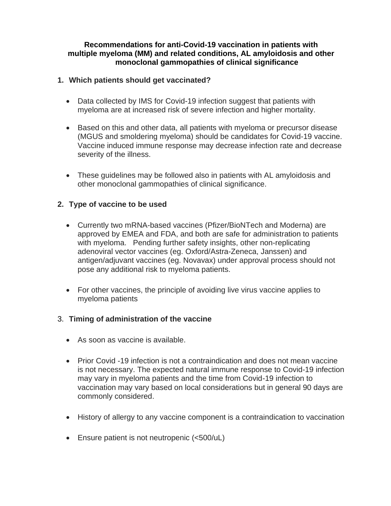## **Recommendations for anti-Covid-19 vaccination in patients with multiple myeloma (MM) and related conditions, AL amyloidosis and other monoclonal gammopathies of clinical significance**

# **1. Which patients should get vaccinated?**

- Data collected by IMS for Covid-19 infection suggest that patients with myeloma are at increased risk of severe infection and higher mortality.
- Based on this and other data, all patients with myeloma or precursor disease (MGUS and smoldering myeloma) should be candidates for Covid-19 vaccine. Vaccine induced immune response may decrease infection rate and decrease severity of the illness.
- These guidelines may be followed also in patients with AL amyloidosis and other monoclonal gammopathies of clinical significance.

# **2. Type of vaccine to be used**

- Currently two mRNA-based vaccines (Pfizer/BioNTech and Moderna) are approved by EMEA and FDA, and both are safe for administration to patients with myeloma. Pending further safety insights, other non-replicating adenoviral vector vaccines (eg. Oxford/Astra-Zeneca, Janssen) and antigen/adjuvant vaccines (eg. Novavax) under approval process should not pose any additional risk to myeloma patients.
- For other vaccines, the principle of avoiding live virus vaccine applies to myeloma patients

## 3. **Timing of administration of the vaccine**

- As soon as vaccine is available.
- Prior Covid -19 infection is not a contraindication and does not mean vaccine is not necessary. The expected natural immune response to Covid-19 infection may vary in myeloma patients and the time from Covid-19 infection to vaccination may vary based on local considerations but in general 90 days are commonly considered.
- History of allergy to any vaccine component is a contraindication to vaccination
- Ensure patient is not neutropenic (<500/uL)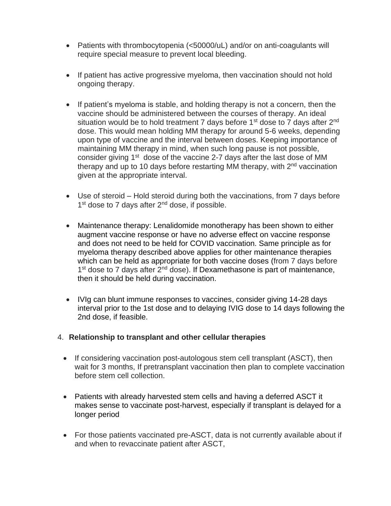- Patients with thrombocytopenia (<50000/uL) and/or on anti-coagulants will require special measure to prevent local bleeding.
- If patient has active progressive myeloma, then vaccination should not hold ongoing therapy.
- If patient's myeloma is stable, and holding therapy is not a concern, then the vaccine should be administered between the courses of therapy. An ideal situation would be to hold treatment 7 days before  $1<sup>st</sup>$  dose to 7 days after  $2<sup>nd</sup>$ dose. This would mean holding MM therapy for around 5-6 weeks, depending upon type of vaccine and the interval between doses. Keeping importance of maintaining MM therapy in mind, when such long pause is not possible, consider giving  $1<sup>st</sup>$  dose of the vaccine 2-7 days after the last dose of MM therapy and up to 10 days before restarting MM therapy, with 2<sup>nd</sup> vaccination given at the appropriate interval.
- Use of steroid Hold steroid during both the vaccinations, from 7 days before 1<sup>st</sup> dose to 7 days after 2<sup>nd</sup> dose, if possible.
- Maintenance therapy: Lenalidomide monotherapy has been shown to either augment vaccine response or have no adverse effect on vaccine response and does not need to be held for COVID vaccination. Same principle as for myeloma therapy described above applies for other maintenance therapies which can be held as appropriate for both vaccine doses (from 7 days before 1<sup>st</sup> dose to 7 days after 2<sup>nd</sup> dose). If Dexamethasone is part of maintenance, then it should be held during vaccination.
- IVIg can blunt immune responses to vaccines, consider giving 14-28 days interval prior to the 1st dose and to delaying IVIG dose to 14 days following the 2nd dose, if feasible.
- 4. **Relationship to transplant and other cellular therapies**
	- If considering vaccination post-autologous stem cell transplant (ASCT), then wait for 3 months, If pretransplant vaccination then plan to complete vaccination before stem cell collection.
	- Patients with already harvested stem cells and having a deferred ASCT it makes sense to vaccinate post-harvest, especially if transplant is delayed for a longer period
	- For those patients vaccinated pre-ASCT, data is not currently available about if and when to revaccinate patient after ASCT,